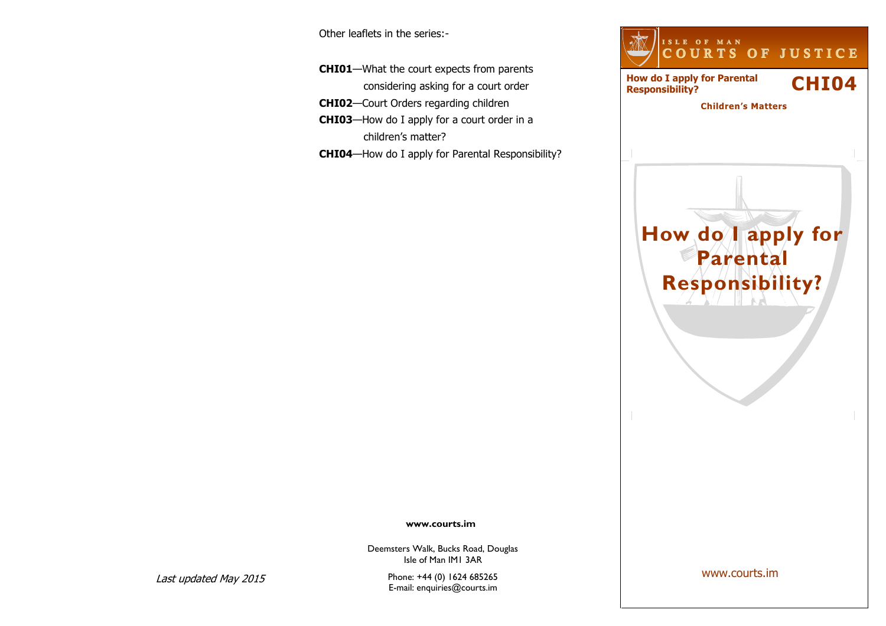Other leaflets in the series:-

**CHI01**—What the court expects from parents considering asking for a court order **CHI02**—Court Orders regarding children **CHI03**—How do I apply for a court order in a children's matter? **CHI04**—How do I apply for Parental Responsibility?



#### **www.courts.im**

Deemsters Walk, Bucks Road, Douglas Isle of Man IM1 3AR

Phone: +44 (0) 1624 685265 E-mail: enquiries@courts.im

www.courts.im